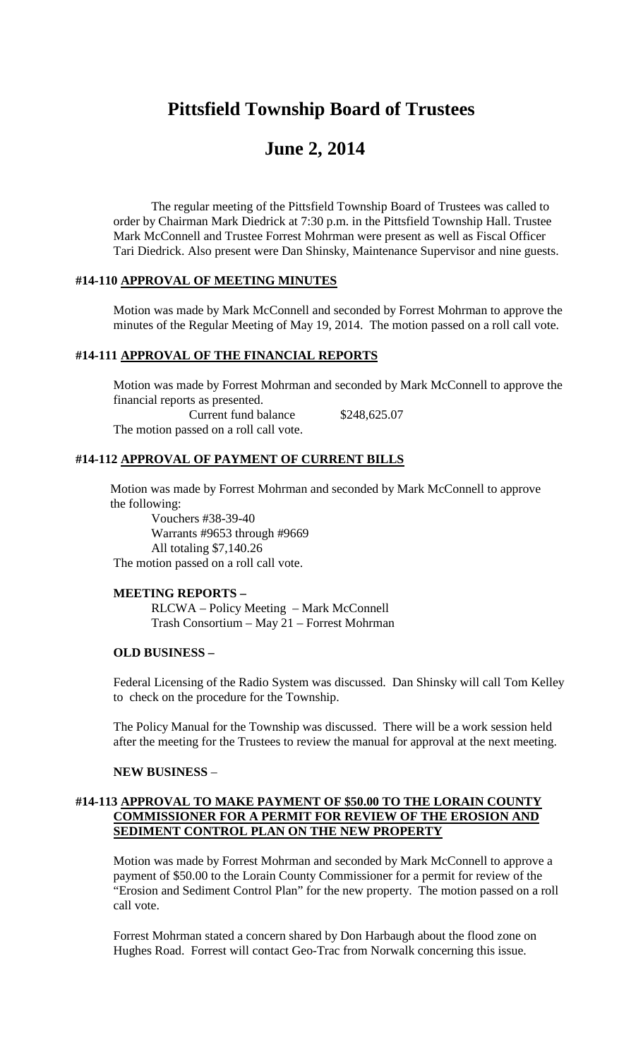## **Pittsfield Township Board of Trustees**

# **June 2, 2014**

The regular meeting of the Pittsfield Township Board of Trustees was called to order by Chairman Mark Diedrick at 7:30 p.m. in the Pittsfield Township Hall. Trustee Mark McConnell and Trustee Forrest Mohrman were present as well as Fiscal Officer Tari Diedrick. Also present were Dan Shinsky, Maintenance Supervisor and nine guests.

## **#14-110 APPROVAL OF MEETING MINUTES**

Motion was made by Mark McConnell and seconded by Forrest Mohrman to approve the minutes of the Regular Meeting of May 19, 2014. The motion passed on a roll call vote.

## **#14-111 APPROVAL OF THE FINANCIAL REPORTS**

Motion was made by Forrest Mohrman and seconded by Mark McConnell to approve the financial reports as presented. Current fund balance \$248,625.07 The motion passed on a roll call vote.

## **#14-112 APPROVAL OF PAYMENT OF CURRENT BILLS**

Motion was made by Forrest Mohrman and seconded by Mark McConnell to approve the following:

Vouchers #38-39-40 Warrants #9653 through #9669 All totaling \$7,140.26 The motion passed on a roll call vote.

#### **MEETING REPORTS –**

RLCWA – Policy Meeting – Mark McConnell Trash Consortium – May 21 – Forrest Mohrman

## **OLD BUSINESS –**

Federal Licensing of the Radio System was discussed. Dan Shinsky will call Tom Kelley to check on the procedure for the Township.

The Policy Manual for the Township was discussed. There will be a work session held after the meeting for the Trustees to review the manual for approval at the next meeting.

#### **NEW BUSINESS** –

## **#14-113 APPROVAL TO MAKE PAYMENT OF \$50.00 TO THE LORAIN COUNTY COMMISSIONER FOR A PERMIT FOR REVIEW OF THE EROSION AND SEDIMENT CONTROL PLAN ON THE NEW PROPERTY**

Motion was made by Forrest Mohrman and seconded by Mark McConnell to approve a payment of \$50.00 to the Lorain County Commissioner for a permit for review of the "Erosion and Sediment Control Plan" for the new property. The motion passed on a roll call vote.

Forrest Mohrman stated a concern shared by Don Harbaugh about the flood zone on Hughes Road. Forrest will contact Geo-Trac from Norwalk concerning this issue.